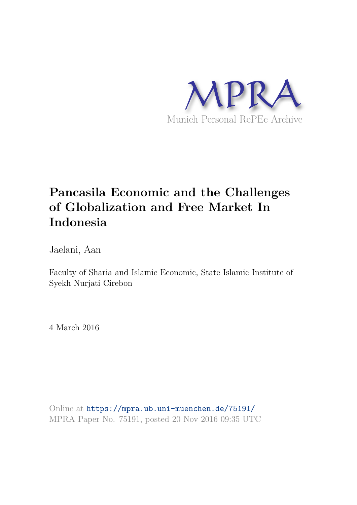

# **Pancasila Economic and the Challenges of Globalization and Free Market In Indonesia**

Jaelani, Aan

Faculty of Sharia and Islamic Economic, State Islamic Institute of Syekh Nurjati Cirebon

4 March 2016

Online at https://mpra.ub.uni-muenchen.de/75191/ MPRA Paper No. 75191, posted 20 Nov 2016 09:35 UTC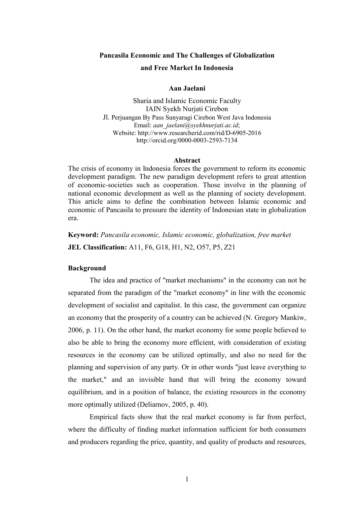# **Pancasila Economic and The Challenges of Globalization and Free Market In Indonesia**

### **Aan Jaelani**

Sharia and Islamic Economic Faculty IAIN Syekh Nurjati Cirebon Jl. Perjuangan By Pass Sunyaragi Cirebon West Java Indonesia Email: *[aan\\_jaelani@syekhnurjati.ac.id](mailto:aan_jaelani@syekhnurjati.ac.id)*; Website: http:[//www.researcherid.com/rid/D-6905-2016](http://www.researcherid.com/rid/D-6905-2016)  <http://orcid.org/0000-0003-2593-7134>

#### **Abstract**

The crisis of economy in Indonesia forces the government to reform its economic development paradigm. The new paradigm development refers to great attention of economic-societies such as cooperation. Those involve in the planning of national economic development as well as the planning of society development. This article aims to define the combination between Islamic economic and economic of Pancasila to pressure the identity of Indonesian state in globalization era.

**Keyword:** *Pancasila economic, Islamic economic, globalization, free market* **JEL Classification:** A11, F6, G18, H1, N2, O57, P5, Z21

#### **Background**

The idea and practice of "market mechanisms" in the economy can not be separated from the paradigm of the "market economy" in line with the economic development of socialist and capitalist. In this case, the government can organize an economy that the prosperity of a country can be achieved (N. Gregory Mankiw, 2006, p. 11). On the other hand, the market economy for some people believed to also be able to bring the economy more efficient, with consideration of existing resources in the economy can be utilized optimally, and also no need for the planning and supervision of any party. Or in other words "just leave everything to the market," and an invisible hand that will bring the economy toward equilibrium, and in a position of balance, the existing resources in the economy more optimally utilized (Deliarnov, 2005, p. 40).

Empirical facts show that the real market economy is far from perfect, where the difficulty of finding market information sufficient for both consumers and producers regarding the price, quantity, and quality of products and resources,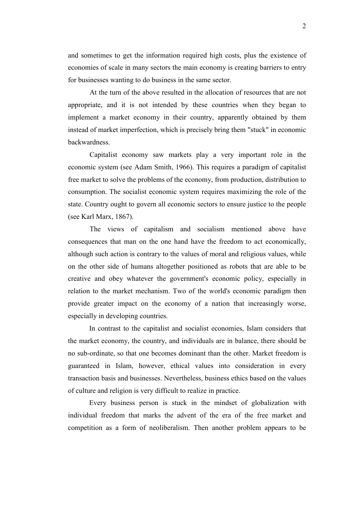and sometimes to get the information required high costs, plus the existence of economies of scale in many sectors the main economy is creating barriers to entry for businesses wanting to do business in the same sector.

At the turn of the above resulted in the allocation of resources that are not appropriate, and it is not intended by these countries when they began to implement a market economy in their country, apparently obtained by them instead of market imperfection, which is precisely bring them "stuck" in economic backwardness.

Capitalist economy saw markets play a very important role in the economic system (see Adam Smith, 1966). This requires a paradigm of capitalist free market to solve the problems of the economy, from production, distribution to consumption. The socialist economic system requires maximizing the role of the state. Country ought to govern all economic sectors to ensure justice to the people (see Karl Marx, 1867).

The views of capitalism and socialism mentioned above have consequences that man on the one hand have the freedom to act economically, although such action is contrary to the values of moral and religious values, while on the other side of humans altogether positioned as robots that are able to be creative and obey whatever the government's economic policy, especially in relation to the market mechanism. Two of the world's economic paradigm then provide greater impact on the economy of a nation that increasingly worse, especially in developing countries.

In contrast to the capitalist and socialist economies, Islam considers that the market economy, the country, and individuals are in balance, there should be no sub-ordinate, so that one becomes dominant than the other. Market freedom is guaranteed in Islam, however, ethical values into consideration in every transaction basis and businesses. Nevertheless, business ethics based on the values of culture and religion is very difficult to realize in practice.

Every business person is stuck in the mindset of globalization with individual freedom that marks the advent of the era of the free market and competition as a form of neoliberalism. Then another problem appears to be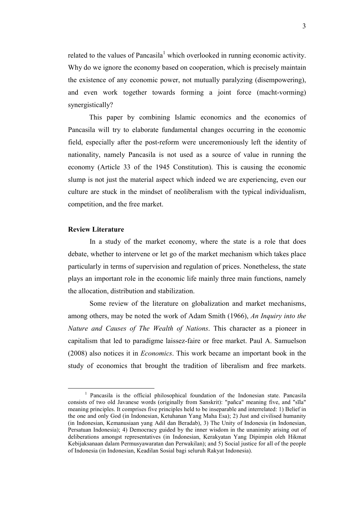related to the values of Pancasila<sup>1</sup> which overlooked in running economic activity. Why do we ignore the economy based on cooperation, which is precisely maintain the existence of any economic power, not mutually paralyzing (disempowering), and even work together towards forming a joint force (macht-vorming) synergistically?

This paper by combining Islamic economics and the economics of Pancasila will try to elaborate fundamental changes occurring in the economic field, especially after the post-reform were unceremoniously left the identity of nationality, namely Pancasila is not used as a source of value in running the economy (Article 33 of the 1945 Constitution). This is causing the economic slump is not just the material aspect which indeed we are experiencing, even our culture are stuck in the mindset of neoliberalism with the typical individualism, competition, and the free market.

#### **Review Literature**

l

In a study of the market economy, where the state is a role that does debate, whether to intervene or let go of the market mechanism which takes place particularly in terms of supervision and regulation of prices. Nonetheless, the state plays an important role in the economic life mainly three main functions, namely the allocation, distribution and stabilization.

Some review of the literature on globalization and market mechanisms, among others, may be noted the work of Adam Smith (1966), *An Inquiry into the Nature and Causes of The Wealth of Nations*. This character as a pioneer in capitalism that led to paradigme laissez-faire or free market. Paul A. Samuelson (2008) also notices it in *Economics*. This work became an important book in the study of economics that brought the tradition of liberalism and free markets.

<sup>&</sup>lt;sup>1</sup> Pancasila is the official philosophical foundation of the Indonesian state. Pancasila consists of two old Javanese words (originally from Sanskrit): "pañca" meaning five, and "sīla" meaning principles. It comprises five principles held to be inseparable and interrelated: 1) Belief in the one and only God (in Indonesian, Ketuhanan Yang Maha Esa); 2) Just and civilised humanity (in Indonesian, Kemanusiaan yang Adil dan Beradab), 3) The Unity of Indonesia (in Indonesian, Persatuan Indonesia); 4) Democracy guided by the inner wisdom in the unanimity arising out of deliberations amongst representatives (in Indonesian, Kerakyatan Yang Dipimpin oleh Hikmat Kebijaksanaan dalam Permusyawaratan dan Perwakilan); and 5) Social justice for all of the people of Indonesia (in Indonesian, Keadilan Sosial bagi seluruh Rakyat Indonesia).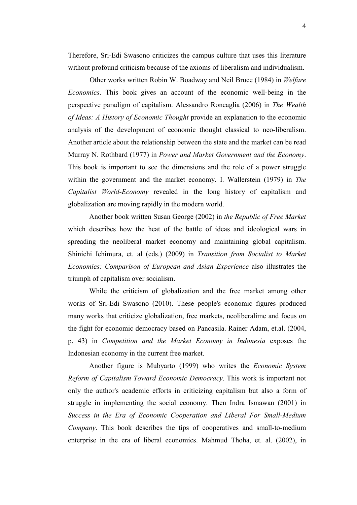Therefore, Sri-Edi Swasono criticizes the campus culture that uses this literature without profound criticism because of the axioms of liberalism and individualism.

Other works written Robin W. Boadway and Neil Bruce (1984) in *Welfare Economics*. This book gives an account of the economic well-being in the perspective paradigm of capitalism. Alessandro Roncaglia (2006) in *The Wealth of Ideas: A History of Economic Thought* provide an explanation to the economic analysis of the development of economic thought classical to neo-liberalism. Another article about the relationship between the state and the market can be read Murray N. Rothbard (1977) in *Power and Market Government and the Economy*. This book is important to see the dimensions and the role of a power struggle within the government and the market economy. I. Wallerstein (1979) in *The Capitalist World-Economy* revealed in the long history of capitalism and globalization are moving rapidly in the modern world.

Another book written Susan George (2002) in *the Republic of Free Market* which describes how the heat of the battle of ideas and ideological wars in spreading the neoliberal market economy and maintaining global capitalism. Shinichi Ichimura, et. al (eds.) (2009) in *Transition from Socialist to Market Economies: Comparison of European and Asian Experience* also illustrates the triumph of capitalism over socialism.

While the criticism of globalization and the free market among other works of Sri-Edi Swasono (2010). These people's economic figures produced many works that criticize globalization, free markets, neoliberalime and focus on the fight for economic democracy based on Pancasila. Rainer Adam, et.al. (2004, p. 43) in *Competition and the Market Economy in Indonesia* exposes the Indonesian economy in the current free market.

Another figure is Mubyarto (1999) who writes the *Economic System Reform of Capitalism Toward Economic Democracy*. This work is important not only the author's academic efforts in criticizing capitalism but also a form of struggle in implementing the social economy. Then Indra Ismawan (2001) in *Success in the Era of Economic Cooperation and Liberal For Small-Medium Company*. This book describes the tips of cooperatives and small-to-medium enterprise in the era of liberal economics. Mahmud Thoha, et. al. (2002), in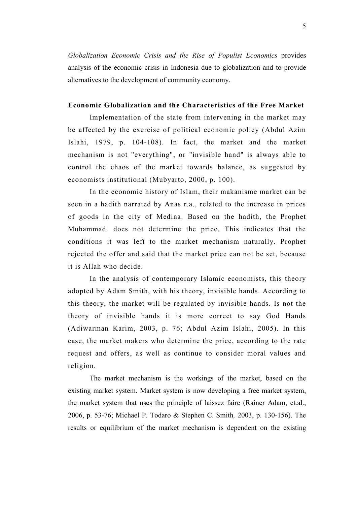*Globalization Economic Crisis and the Rise of Populist Economics* provides analysis of the economic crisis in Indonesia due to globalization and to provide alternatives to the development of community economy.

## **Economic Globalization and the Characteristics of the Free Market**

Implementation of the state from intervening in the market may be affected by the exercise of political economic policy (Abdul Azim Islahi, 1979, p. 104-108). In fact, the market and the market mechanism is not "everything", or "invisible hand" is always able to control the chaos of the market towards balance, as suggested by economists institutional (Mubyarto, 2000, p. 100).

In the economic history of Islam, their makanisme market can be seen in a hadith narrated by Anas r.a., related to the increase in prices of goods in the city of Medina. Based on the hadith, the Prophet Muhammad. does not determine the price. This indicates that the conditions it was left to the market mechanism naturally. Prophet rejected the offer and said that the market price can not be set, because it is Allah who decide.

In the analysis of contemporary Islamic economists, this theory adopted by Adam Smith, with his theory, invisible hands. According to this theory, the market will be regulated by invisible hands. Is not the theory of invisible hands it is more correct to say God Hands (Adiwarman Karim, 2003, p. 76; Abdul Azim Islahi, 2005). In this case, the market makers who determine the price, according to the rate request and offers, as well as continue to consider moral values and religion.

The market mechanism is the workings of the market, based on the existing market system. Market system is now developing a free market system, the market system that uses the principle of laissez faire (Rainer Adam, et.al., 2006, p. 53-76; Michael P. Todaro & Stephen C. Smith*,* 2003, p. 130-156). The results or equilibrium of the market mechanism is dependent on the existing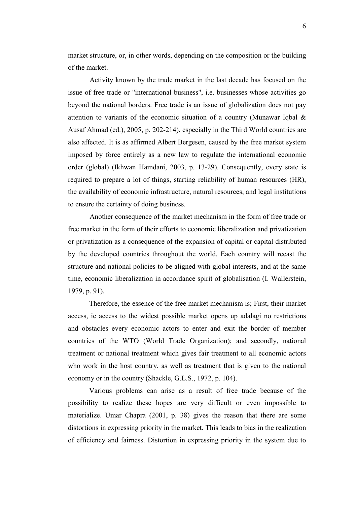market structure, or, in other words, depending on the composition or the building of the market.

Activity known by the trade market in the last decade has focused on the issue of free trade or "international business", i.e. businesses whose activities go beyond the national borders. Free trade is an issue of globalization does not pay attention to variants of the economic situation of a country (Munawar Iqbal & Ausaf Ahmad (ed.), 2005, p. 202-214), especially in the Third World countries are also affected. It is as affirmed Albert Bergesen, caused by the free market system imposed by force entirely as a new law to regulate the international economic order (global) (Ikhwan Hamdani, 2003, p. 13-29). Consequently, every state is required to prepare a lot of things, starting reliability of human resources (HR), the availability of economic infrastructure, natural resources, and legal institutions to ensure the certainty of doing business.

Another consequence of the market mechanism in the form of free trade or free market in the form of their efforts to economic liberalization and privatization or privatization as a consequence of the expansion of capital or capital distributed by the developed countries throughout the world. Each country will recast the structure and national policies to be aligned with global interests, and at the same time, economic liberalization in accordance spirit of globalisation (I. Wallerstein, 1979, p. 91).

Therefore, the essence of the free market mechanism is; First, their market access, ie access to the widest possible market opens up adalagi no restrictions and obstacles every economic actors to enter and exit the border of member countries of the WTO (World Trade Organization); and secondly, national treatment or national treatment which gives fair treatment to all economic actors who work in the host country, as well as treatment that is given to the national economy or in the country (Shackle, G.L.S., 1972, p. 104).

Various problems can arise as a result of free trade because of the possibility to realize these hopes are very difficult or even impossible to materialize. Umar Chapra (2001, p. 38) gives the reason that there are some distortions in expressing priority in the market. This leads to bias in the realization of efficiency and fairness. Distortion in expressing priority in the system due to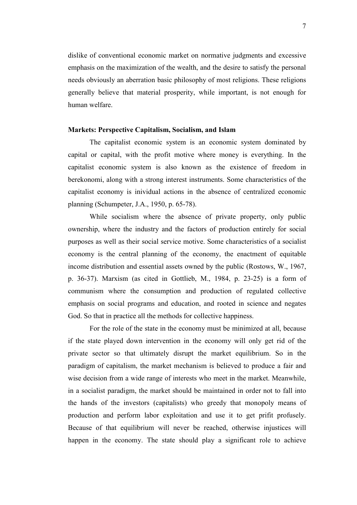dislike of conventional economic market on normative judgments and excessive emphasis on the maximization of the wealth, and the desire to satisfy the personal needs obviously an aberration basic philosophy of most religions. These religions generally believe that material prosperity, while important, is not enough for human welfare.

#### **Markets: Perspective Capitalism, Socialism, and Islam**

The capitalist economic system is an economic system dominated by capital or capital, with the profit motive where money is everything. In the capitalist economic system is also known as the existence of freedom in berekonomi, along with a strong interest instruments. Some characteristics of the capitalist economy is inividual actions in the absence of centralized economic planning (Schumpeter, J.A., 1950, p. 65-78).

While socialism where the absence of private property, only public ownership, where the industry and the factors of production entirely for social purposes as well as their social service motive. Some characteristics of a socialist economy is the central planning of the economy, the enactment of equitable income distribution and essential assets owned by the public (Rostows, W., 1967, p. 36-37). Marxism (as cited in Gottlieb, M., 1984, p. 23-25) is a form of communism where the consumption and production of regulated collective emphasis on social programs and education, and rooted in science and negates God. So that in practice all the methods for collective happiness.

For the role of the state in the economy must be minimized at all, because if the state played down intervention in the economy will only get rid of the private sector so that ultimately disrupt the market equilibrium. So in the paradigm of capitalism, the market mechanism is believed to produce a fair and wise decision from a wide range of interests who meet in the market. Meanwhile, in a socialist paradigm, the market should be maintained in order not to fall into the hands of the investors (capitalists) who greedy that monopoly means of production and perform labor exploitation and use it to get prifit profusely. Because of that equilibrium will never be reached, otherwise injustices will happen in the economy. The state should play a significant role to achieve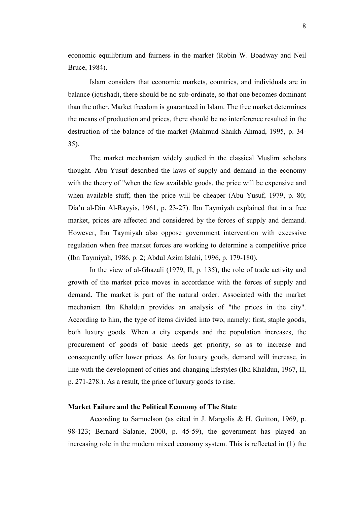economic equilibrium and fairness in the market (Robin W. Boadway and Neil Bruce, 1984).

Islam considers that economic markets, countries, and individuals are in balance (iqtishad), there should be no sub-ordinate, so that one becomes dominant than the other. Market freedom is guaranteed in Islam. The free market determines the means of production and prices, there should be no interference resulted in the destruction of the balance of the market (Mahmud Shaikh Ahmad, 1995, p. 34- 35).

The market mechanism widely studied in the classical Muslim scholars thought. Abu Yusuf described the laws of supply and demand in the economy with the theory of "when the few available goods, the price will be expensive and when available stuff, then the price will be cheaper (Abu Yusuf, 1979, p. 80; Dia'u al-Din Al-Rayyis, 1961, p. 23-27). Ibn Taymiyah explained that in a free market, prices are affected and considered by the forces of supply and demand. However, Ibn Taymiyah also oppose government intervention with excessive regulation when free market forces are working to determine a competitive price (Ibn Taymiyah*,* 1986, p. 2; Abdul Azim Islahi, 1996, p. 179-180).

In the view of al-Ghazali (1979, II, p. 135), the role of trade activity and growth of the market price moves in accordance with the forces of supply and demand. The market is part of the natural order. Associated with the market mechanism Ibn Khaldun provides an analysis of "the prices in the city". According to him, the type of items divided into two, namely: first, staple goods, both luxury goods. When a city expands and the population increases, the procurement of goods of basic needs get priority, so as to increase and consequently offer lower prices. As for luxury goods, demand will increase, in line with the development of cities and changing lifestyles (Ibn Khaldun, 1967, II, p. 271-278.). As a result, the price of luxury goods to rise.

# **Market Failure and the Political Economy of The State**

According to Samuelson (as cited in J. Margolis & H. Guitton, 1969, p. 98-123; Bernard Salanie, 2000, p. 45-59), the government has played an increasing role in the modern mixed economy system. This is reflected in (1) the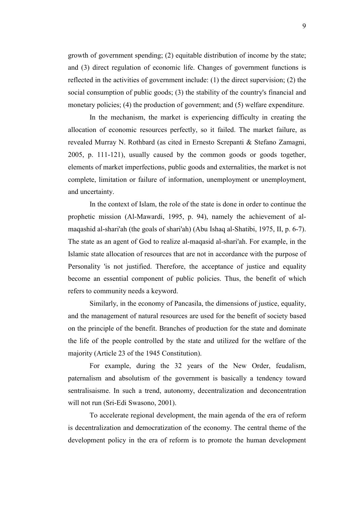growth of government spending; (2) equitable distribution of income by the state; and (3) direct regulation of economic life. Changes of government functions is reflected in the activities of government include: (1) the direct supervision; (2) the social consumption of public goods; (3) the stability of the country's financial and monetary policies; (4) the production of government; and (5) welfare expenditure.

In the mechanism, the market is experiencing difficulty in creating the allocation of economic resources perfectly, so it failed. The market failure, as revealed Murray N. Rothbard (as cited in Ernesto Screpanti & Stefano Zamagni, 2005, p. 111-121), usually caused by the common goods or goods together, elements of market imperfections, public goods and externalities, the market is not complete, limitation or failure of information, unemployment or unemployment, and uncertainty.

In the context of Islam, the role of the state is done in order to continue the prophetic mission (Al-Mawardi, 1995, p. 94), namely the achievement of almaqashid al-shari'ah (the goals of shari'ah) (Abu Ishaq al-Shatibi, 1975, II, p. 6-7). The state as an agent of God to realize al-maqasid al-shari'ah. For example, in the Islamic state allocation of resources that are not in accordance with the purpose of Personality 'is not justified. Therefore, the acceptance of justice and equality become an essential component of public policies. Thus, the benefit of which refers to community needs a keyword.

Similarly, in the economy of Pancasila, the dimensions of justice, equality, and the management of natural resources are used for the benefit of society based on the principle of the benefit. Branches of production for the state and dominate the life of the people controlled by the state and utilized for the welfare of the majority (Article 23 of the 1945 Constitution).

For example, during the 32 years of the New Order, feudalism, paternalism and absolutism of the government is basically a tendency toward sentralisaisme. In such a trend, autonomy, decentralization and deconcentration will not run (Sri-Edi Swasono, 2001).

To accelerate regional development, the main agenda of the era of reform is decentralization and democratization of the economy. The central theme of the development policy in the era of reform is to promote the human development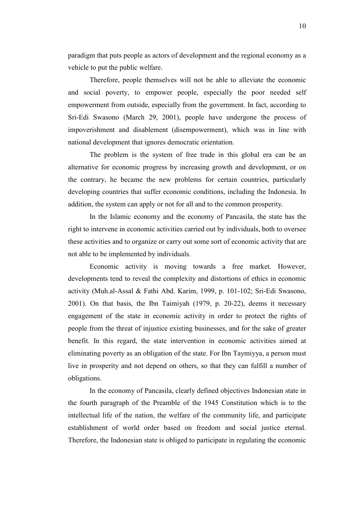paradigm that puts people as actors of development and the regional economy as a vehicle to put the public welfare.

Therefore, people themselves will not be able to alleviate the economic and social poverty, to empower people, especially the poor needed self empowerment from outside, especially from the government. In fact, according to Sri-Edi Swasono (March 29, 2001), people have undergone the process of impoverishment and disablement (disempowerment), which was in line with national development that ignores democratic orientation.

The problem is the system of free trade in this global era can be an alternative for economic progress by increasing growth and development, or on the contrary, he became the new problems for certain countries, particularly developing countries that suffer economic conditions, including the Indonesia. In addition, the system can apply or not for all and to the common prosperity.

In the Islamic economy and the economy of Pancasila, the state has the right to intervene in economic activities carried out by individuals, both to oversee these activities and to organize or carry out some sort of economic activity that are not able to be implemented by individuals.

Economic activity is moving towards a free market. However, developments tend to reveal the complexity and distortions of ethics in economic activity (Muh.al-Assal & Fathi Abd. Karim, 1999, p. 101-102; Sri-Edi Swasono, 2001). On that basis, the Ibn Taimiyah (1979, p. 20-22), deems it necessary engagement of the state in economic activity in order to protect the rights of people from the threat of injustice existing businesses, and for the sake of greater benefit. In this regard, the state intervention in economic activities aimed at eliminating poverty as an obligation of the state. For Ibn Taymiyya, a person must live in prosperity and not depend on others, so that they can fulfill a number of obligations.

In the economy of Pancasila, clearly defined objectives Indonesian state in the fourth paragraph of the Preamble of the 1945 Constitution which is to the intellectual life of the nation, the welfare of the community life, and participate establishment of world order based on freedom and social justice eternal. Therefore, the Indonesian state is obliged to participate in regulating the economic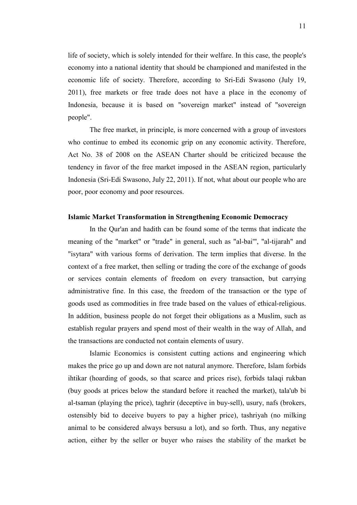life of society, which is solely intended for their welfare. In this case, the people's economy into a national identity that should be championed and manifested in the economic life of society. Therefore, according to Sri-Edi Swasono (July 19, 2011), free markets or free trade does not have a place in the economy of Indonesia, because it is based on "sovereign market" instead of "sovereign people".

The free market, in principle, is more concerned with a group of investors who continue to embed its economic grip on any economic activity. Therefore, Act No. 38 of 2008 on the ASEAN Charter should be criticized because the tendency in favor of the free market imposed in the ASEAN region, particularly Indonesia (Sri-Edi Swasono, July 22, 2011). If not, what about our people who are poor, poor economy and poor resources.

#### **Islamic Market Transformation in Strengthening Economic Democracy**

In the Qur'an and hadith can be found some of the terms that indicate the meaning of the "market" or "trade" in general, such as "al-bai'", "al-tijarah" and "isytara" with various forms of derivation. The term implies that diverse. In the context of a free market, then selling or trading the core of the exchange of goods or services contain elements of freedom on every transaction, but carrying administrative fine. In this case, the freedom of the transaction or the type of goods used as commodities in free trade based on the values of ethical-religious. In addition, business people do not forget their obligations as a Muslim, such as establish regular prayers and spend most of their wealth in the way of Allah, and the transactions are conducted not contain elements of usury.

Islamic Economics is consistent cutting actions and engineering which makes the price go up and down are not natural anymore. Therefore, Islam forbids ihtikar (hoarding of goods, so that scarce and prices rise), forbids talaqi rukban (buy goods at prices below the standard before it reached the market), tala'ub bi al-tsaman (playing the price), taghrir (deceptive in buy-sell), usury, nafs (brokers, ostensibly bid to deceive buyers to pay a higher price), tashriyah (no milking animal to be considered always bersusu a lot), and so forth. Thus, any negative action, either by the seller or buyer who raises the stability of the market be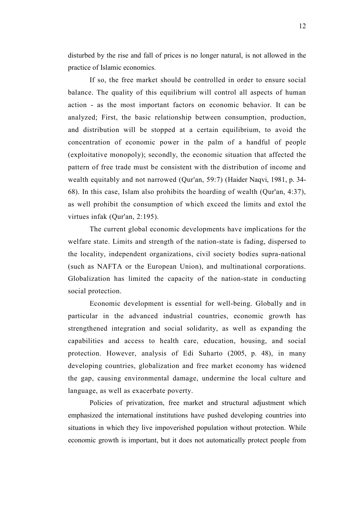disturbed by the rise and fall of prices is no longer natural, is not allowed in the practice of Islamic economics.

If so, the free market should be controlled in order to ensure social balance. The quality of this equilibrium will control all aspects of human action - as the most important factors on economic behavior. It can be analyzed; First, the basic relationship between consumption, production, and distribution will be stopped at a certain equilibrium, to avoid the concentration of economic power in the palm of a handful of people (exploitative monopoly); secondly, the economic situation that affected the pattern of free trade must be consistent with the distribution of income and wealth equitably and not narrowed (Qur'an, 59:7) (Haider Naqvi, 1981, p. 34- 68). In this case, Islam also prohibits the hoarding of wealth (Qur'an, 4:37), as well prohibit the consumption of which exceed the limits and extol the virtues infak (Qur'an, 2:195).

The current global economic developments have implications for the welfare state. Limits and strength of the nation-state is fading, dispersed to the locality, independent organizations, civil society bodies supra-national (such as NAFTA or the European Union), and multinational corporations. Globalization has limited the capacity of the nation-state in conducting social protection.

Economic development is essential for well-being. Globally and in particular in the advanced industrial countries, economic growth has strengthened integration and social solidarity, as well as expanding the capabilities and access to health care, education, housing, and social protection. However, analysis of Edi Suharto (2005, p. 48), in many developing countries, globalization and free market economy has widened the gap, causing environmental damage, undermine the local culture and language, as well as exacerbate poverty.

Policies of privatization, free market and structural adjustment which emphasized the international institutions have pushed developing countries into situations in which they live impoverished population without protection. While economic growth is important, but it does not automatically protect people from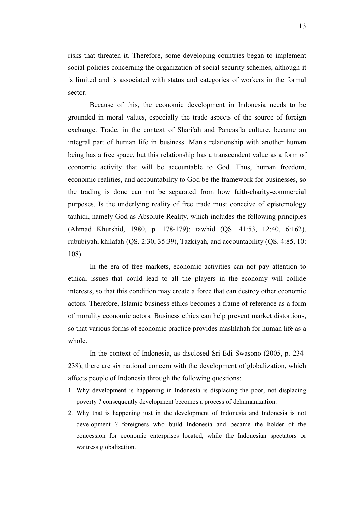risks that threaten it. Therefore, some developing countries began to implement social policies concerning the organization of social security schemes, although it is limited and is associated with status and categories of workers in the formal sector.

Because of this, the economic development in Indonesia needs to be grounded in moral values, especially the trade aspects of the source of foreign exchange. Trade, in the context of Shari'ah and Pancasila culture, became an integral part of human life in business. Man's relationship with another human being has a free space, but this relationship has a transcendent value as a form of economic activity that will be accountable to God. Thus, human freedom, economic realities, and accountability to God be the framework for businesses, so the trading is done can not be separated from how faith-charity-commercial purposes. Is the underlying reality of free trade must conceive of epistemology tauhidi, namely God as Absolute Reality, which includes the following principles (Ahmad Khurshid, 1980, p. 178-179): tawhid (QS. 41:53, 12:40, 6:162), rububiyah, khilafah (QS. 2:30, 35:39), Tazkiyah, and accountability (QS. 4:85, 10: 108).

In the era of free markets, economic activities can not pay attention to ethical issues that could lead to all the players in the economy will collide interests, so that this condition may create a force that can destroy other economic actors. Therefore, Islamic business ethics becomes a frame of reference as a form of morality economic actors. Business ethics can help prevent market distortions, so that various forms of economic practice provides mashlahah for human life as a whole.

In the context of Indonesia, as disclosed Sri-Edi Swasono (2005, p. 234- 238), there are six national concern with the development of globalization, which affects people of Indonesia through the following questions:

- 1. Why development is happening in Indonesia is displacing the poor, not displacing poverty ? consequently development becomes a process of dehumanization.
- 2. Why that is happening just in the development of Indonesia and Indonesia is not development ? foreigners who build Indonesia and became the holder of the concession for economic enterprises located, while the Indonesian spectators or waitress globalization.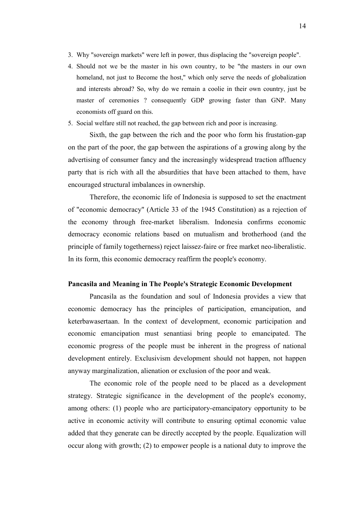- 3. Why "sovereign markets" were left in power, thus displacing the "sovereign people".
- 4. Should not we be the master in his own country, to be "the masters in our own homeland, not just to Become the host," which only serve the needs of globalization and interests abroad? So, why do we remain a coolie in their own country, just be master of ceremonies ? consequently GDP growing faster than GNP. Many economists off guard on this.
- 5. Social welfare still not reached, the gap between rich and poor is increasing.

Sixth, the gap between the rich and the poor who form his frustation-gap on the part of the poor, the gap between the aspirations of a growing along by the advertising of consumer fancy and the increasingly widespread traction affluency party that is rich with all the absurdities that have been attached to them, have encouraged structural imbalances in ownership.

Therefore, the economic life of Indonesia is supposed to set the enactment of "economic democracy" (Article 33 of the 1945 Constitution) as a rejection of the economy through free-market liberalism. Indonesia confirms economic democracy economic relations based on mutualism and brotherhood (and the principle of family togetherness) reject laissez-faire or free market neo-liberalistic. In its form, this economic democracy reaffirm the people's economy.

#### **Pancasila and Meaning in The People's Strategic Economic Development**

Pancasila as the foundation and soul of Indonesia provides a view that economic democracy has the principles of participation, emancipation, and keterbawasertaan. In the context of development, economic participation and economic emancipation must senantiasi bring people to emancipated. The economic progress of the people must be inherent in the progress of national development entirely. Exclusivism development should not happen, not happen anyway marginalization, alienation or exclusion of the poor and weak.

The economic role of the people need to be placed as a development strategy. Strategic significance in the development of the people's economy, among others: (1) people who are participatory-emancipatory opportunity to be active in economic activity will contribute to ensuring optimal economic value added that they generate can be directly accepted by the people. Equalization will occur along with growth; (2) to empower people is a national duty to improve the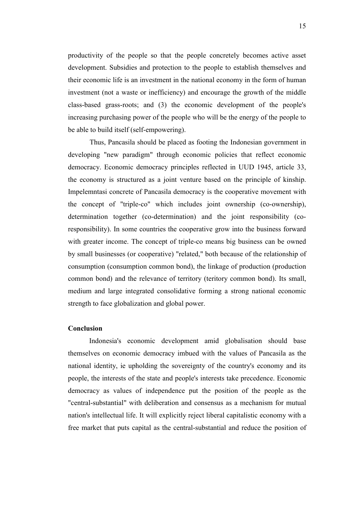productivity of the people so that the people concretely becomes active asset development. Subsidies and protection to the people to establish themselves and their economic life is an investment in the national economy in the form of human investment (not a waste or inefficiency) and encourage the growth of the middle class-based grass-roots; and (3) the economic development of the people's increasing purchasing power of the people who will be the energy of the people to be able to build itself (self-empowering).

Thus, Pancasila should be placed as footing the Indonesian government in developing "new paradigm" through economic policies that reflect economic democracy. Economic democracy principles reflected in UUD 1945, article 33, the economy is structured as a joint venture based on the principle of kinship. Impelemntasi concrete of Pancasila democracy is the cooperative movement with the concept of "triple-co" which includes joint ownership (co-ownership), determination together (co-determination) and the joint responsibility (coresponsibility). In some countries the cooperative grow into the business forward with greater income. The concept of triple-co means big business can be owned by small businesses (or cooperative) "related," both because of the relationship of consumption (consumption common bond), the linkage of production (production common bond) and the relevance of territory (teritory common bond). Its small, medium and large integrated consolidative forming a strong national economic strength to face globalization and global power.

#### **Conclusion**

Indonesia's economic development amid globalisation should base themselves on economic democracy imbued with the values of Pancasila as the national identity, ie upholding the sovereignty of the country's economy and its people, the interests of the state and people's interests take precedence. Economic democracy as values of independence put the position of the people as the "central-substantial" with deliberation and consensus as a mechanism for mutual nation's intellectual life. It will explicitly reject liberal capitalistic economy with a free market that puts capital as the central-substantial and reduce the position of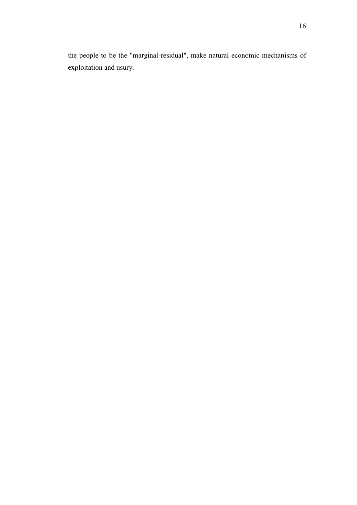the people to be the "marginal-residual", make natural economic mechanisms of exploitation and usury.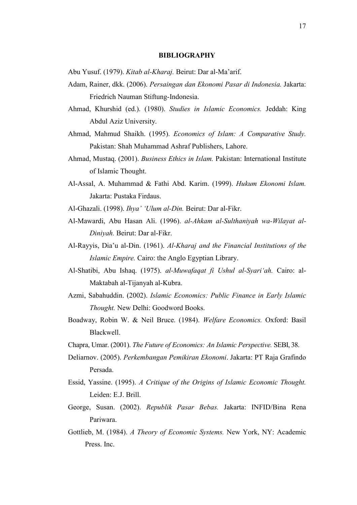#### **BIBLIOGRAPHY**

Abu Yusuf. (1979). *Kitab al-Kharaj.* Beirut: Dar al-Ma'arif.

- Adam, Rainer, dkk. (2006). *Persaingan dan Ekonomi Pasar di Indonesia.* Jakarta: Friedrich Nauman Stiftung-Indonesia.
- Ahmad, Khurshid (ed.). (1980). *Studies in Islamic Economics.* Jeddah: King Abdul Aziz University.
- Ahmad, Mahmud Shaikh. (1995). *Economics of Islam: A Comparative Study.* Pakistan: Shah Muhammad Ashraf Publishers, Lahore.
- Ahmad, Mustaq. (2001). *Business Ethics in Islam.* Pakistan: International Institute of Islamic Thought.
- Al-Assal, A. Muhammad & Fathi Abd. Karim. (1999). *Hukum Ekonomi Islam.*  Jakarta: Pustaka Firdaus.
- Al-Ghazali. (1998). *Ihya' 'Ulum al-Din.* Beirut: Dar al-Fikr.
- Al-Mawardi, Abu Hasan Ali. (1996). *al-Ahkam al-Sulthaniyah wa-Wilayat al-Diniyah.* Beirut: Dar al-Fikr.
- Al-Rayyis, Dia'u al-Din. (1961). *Al-Kharaj and the Financial Institutions of the Islamic Empire.* Cairo: the Anglo Egyptian Library.
- Al-Shatibi, Abu Ishaq. (1975). *al-Muwafaqat fi Ushul al-Syari'ah.* Cairo: al-Maktabah al-Tijanyah al-Kubra.
- Azmi, Sabahuddin. (2002). *Islamic Economics: Public Finance in Early Islamic Thought.* New Delhi: Goodword Books.
- Boadway, Robin W. & Neil Bruce. (1984). *Welfare Economics.* Oxford: Basil Blackwell.
- Chapra, Umar. (2001). *The Future of Economics: An Islamic Perspective.* SEBI, 38.
- Deliarnov. (2005). *Perkembangan Pemikiran Ekonomi*. Jakarta: PT Raja Grafindo Persada.
- Essid, Yassine. (1995). *A Critique of the Origins of Islamic Economic Thought.* Leiden: E.J. Brill.
- George, Susan. (2002). *Republik Pasar Bebas.* Jakarta: INFID/Bina Rena Pariwara.
- Gottlieb, M. (1984). *A Theory of Economic Systems.* New York, NY: Academic Press. Inc.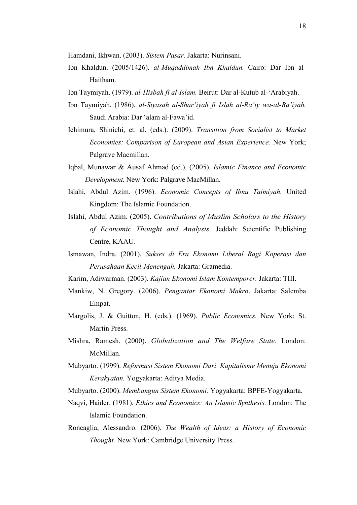Hamdani, Ikhwan. (2003). *Sistem Pasar.* Jakarta: Nurinsani.

- Ibn Khaldun. (2005/1426). *al-Muqaddimah Ibn Khaldun.* Cairo: Dar Ibn al-Haitham.
- Ibn Taymiyah. (1979). *al-Hisbah fi al-Islam.* Beirut: Dar al-Kutub al-'Arabiyah.
- Ibn Taymiyah. (1986). *al-Siyasah al-Shar'iyah fi Islah al-Ra'iy wa-al-Ra'iyah.*  Saudi Arabia: Dar 'alam al-Fawa'id.
- Ichimura, Shinichi, et. al. (eds.). (2009). *Transition from Socialist to Market Economies: Comparison of European and Asian Experience.* New York; Palgrave Macmillan.
- Iqbal, Munawar & Ausaf Ahmad (ed.). (2005). *Islamic Finance and Economic Development.* New York: Palgrave MacMillan.
- Islahi, Abdul Azim. (1996). *Economic Concepts of Ibnu Taimiyah.* United Kingdom: The Islamic Foundation.
- Islahi, Abdul Azim. (2005). *Contributions of Muslim Scholars to the History of Economic Thought and Analysis.* Jeddah: Scientific Publishing Centre, KAAU.
- Ismawan, Indra. (2001). *Sukses di Era Ekonomi Liberal Bagi Koperasi dan Perusahaan Kecil-Menengah.* Jakarta: Gramedia.
- Karim, Adiwarman. (2003). *Kajian Ekonomi Islam Kontemporer.* Jakarta: TIII.
- Mankiw, N. Gregory. (2006). *Pengantar Ekonomi Makro*. Jakarta: Salemba Empat.
- Margolis, J. & Guitton, H. (eds.). (1969). *Public Economics.* New York: St. Martin Press.
- Mishra, Ramesh. (2000). *Globalization and The Welfare State.* London: McMillan.
- Mubyarto. (1999). *Reformasi Sistem Ekonomi Dari Kapitalisme Menuju Ekonomi Kerakyatan.* Yogyakarta: Aditya Media.
- Mubyarto. (2000). *Membangun Sistem Ekonomi.* Yogyakarta: BPFE-Yogyakarta.
- Naqvi, Haider. (1981). *Ethics and Economics: An Islamic Synthesis.* London: The Islamic Foundation.
- Roncaglia, Alessandro. (2006). *The Wealth of Ideas: a History of Economic Thought.* New York: Cambridge University Press.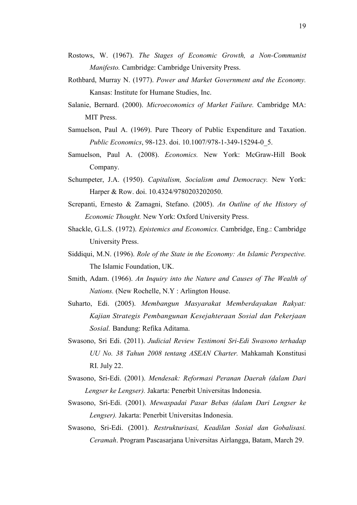- Rostows, W. (1967). *The Stages of Economic Growth, a Non-Communist Manifesto.* Cambridge: Cambridge University Press.
- Rothbard, Murray N. (1977). *Power and Market Government and the Economy.*  Kansas: Institute for Humane Studies, Inc.
- Salanie, Bernard. (2000). *Microeconomics of Market Failure.* Cambridge MA: MIT Press.
- Samuelson, Paul A. (1969). Pure Theory of Public Expenditure and Taxation. *Public Economics*, 98-123. doi. 10.1007/978-1-349-15294-0\_5.
- Samuelson, Paul A. (2008). *Economics.* New York: McGraw-Hill Book Company.
- Schumpeter, J.A. (1950). *Capitalism, Socialism amd Democracy.* New York: Harper & Row. doi. 10.4324/9780203202050.
- Screpanti, Ernesto & Zamagni, Stefano. (2005). *An Outline of the History of Economic Thought.* New York: Oxford University Press.
- Shackle, G.L.S. (1972). *Epistemics and Economics.* Cambridge, Eng.: Cambridge University Press.
- Siddiqui, M.N. (1996). *Role of the State in the Economy: An Islamic Perspective.* The Islamic Foundation, UK.
- Smith, Adam. (1966). *An Inquiry into the Nature and Causes of The Wealth of Nations.* (New Rochelle, N.Y : Arlington House.
- Suharto, Edi. (2005). *Membangun Masyarakat Memberdayakan Rakyat: Kajian Strategis Pembangunan Kesejahteraan Sosial dan Pekerjaan Sosial.* Bandung: Refika Aditama.
- Swasono, Sri Edi. (2011). *Judicial Review Testimoni Sri-Edi Swasono terhadap UU No. 38 Tahun 2008 tentang ASEAN Charter.* Mahkamah Konstitusi RI. July 22.
- Swasono, Sri-Edi. (2001). *Mendesak: Reformasi Peranan Daerah (dalam Dari Lengser ke Lengser).* Jakarta: Penerbit Universitas Indonesia.
- Swasono, Sri-Edi. (2001). *Mewaspadai Pasar Bebas (dalam Dari Lengser ke Lengser).* Jakarta: Penerbit Universitas Indonesia.
- Swasono, Sri-Edi. (2001). *Restrukturisasi, Keadilan Sosial dan Gobalisasi. Ceramah*. Program Pascasarjana Universitas Airlangga, Batam, March 29.